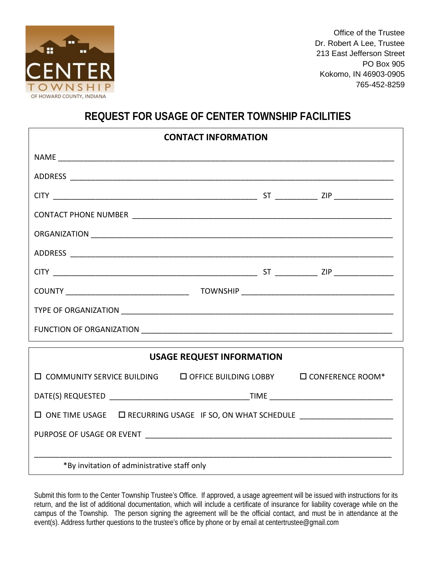

Office of the Trustee Dr. Robert A Lee, Trustee 213 East Jefferson Street PO Box 905 Kokomo, IN 46903-0905 765-452-8259

# **REQUEST FOR USAGE OF CENTER TOWNSHIP FACILITIES**

| <b>CONTACT INFORMATION</b>                                                             |  |  |  |  |  |  |  |  |
|----------------------------------------------------------------------------------------|--|--|--|--|--|--|--|--|
|                                                                                        |  |  |  |  |  |  |  |  |
|                                                                                        |  |  |  |  |  |  |  |  |
|                                                                                        |  |  |  |  |  |  |  |  |
|                                                                                        |  |  |  |  |  |  |  |  |
|                                                                                        |  |  |  |  |  |  |  |  |
|                                                                                        |  |  |  |  |  |  |  |  |
|                                                                                        |  |  |  |  |  |  |  |  |
|                                                                                        |  |  |  |  |  |  |  |  |
|                                                                                        |  |  |  |  |  |  |  |  |
|                                                                                        |  |  |  |  |  |  |  |  |
| <b>USAGE REQUEST INFORMATION</b>                                                       |  |  |  |  |  |  |  |  |
|                                                                                        |  |  |  |  |  |  |  |  |
| $\Box$ COMMUNITY SERVICE BUILDING $\Box$ OFFICE BUILDING LOBBY $\Box$ CONFERENCE ROOM* |  |  |  |  |  |  |  |  |

| DATE(S) REQUESTED         | TIME                                                                 |  |  |  |  |
|---------------------------|----------------------------------------------------------------------|--|--|--|--|
|                           | $\Box$ ONE TIME USAGE $\Box$ RECURRING USAGE IF SO, ON WHAT SCHEDULE |  |  |  |  |
| PURPOSE OF USAGE OR EVENT |                                                                      |  |  |  |  |
|                           | *By invitation of administrative staff only                          |  |  |  |  |

Submit this form to the Center Township Trustee's Office. If approved, a usage agreement will be issued with instructions for its return, and the list of additional documentation, which will include a certificate of insurance for liability coverage while on the campus of the Township. The person signing the agreement will be the official contact, and must be in attendance at the event(s). Address further questions to the trustee's office by phone or by email at centertrustee@gmail.com